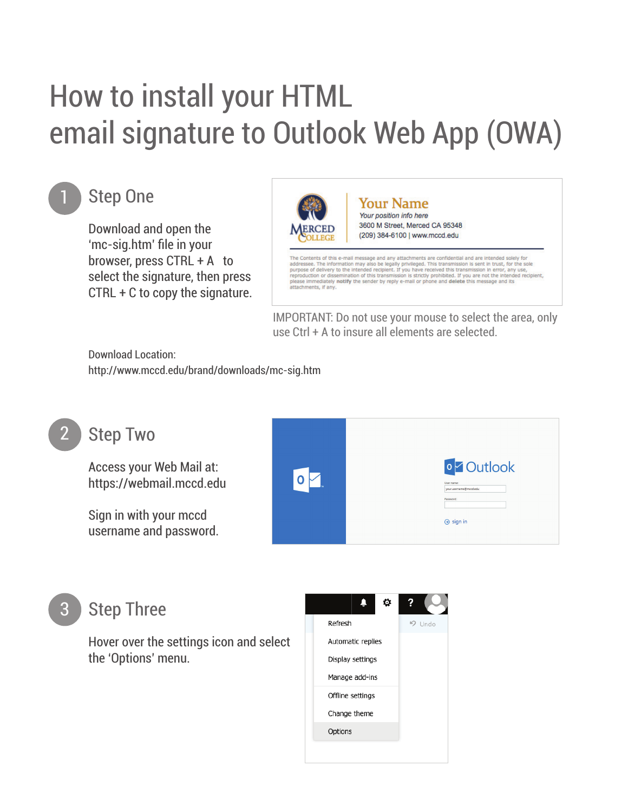# How to install your HTML email signature to Outlook Web App (OWA)



# **Step One**

Download and open the 'mc-sig.htm' file in your browser, press CTRL + A to select the signature, then press CTRL + C to copy the signature.



IMPORTANT: Do not use your mouse to select the area, only use Ctrl + A to insure all elements are selected.

Download Location: http://www.mccd.edu/brand/downloads/mc-sig.htm



#### **Step Two**

Access your Web Mail at: https://webmail.mccd.edu

Sign in with your mccd username and password.



### **Step Three**

Hover over the settings icon and select the 'Options' menu.

| Refresh          |                   |  |  | $9$ Undo |
|------------------|-------------------|--|--|----------|
|                  | Automatic replies |  |  |          |
|                  | Display settings  |  |  |          |
| Manage add-ins   |                   |  |  |          |
| Offline settings |                   |  |  |          |
| Change theme     |                   |  |  |          |
|                  | Options           |  |  |          |
|                  |                   |  |  |          |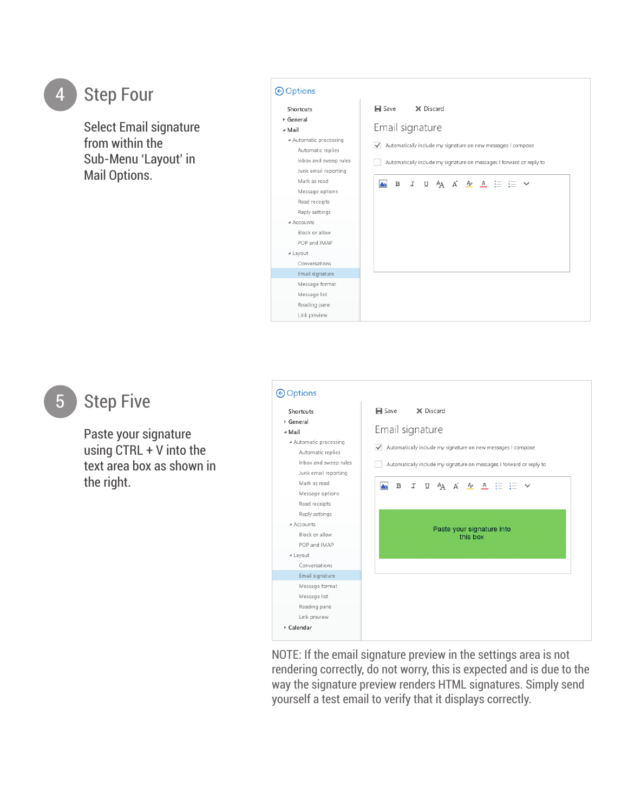## **Step Four**

Select Email signature from within the Sub-Menu 'Layout' in Mail Options.



#### **Step Five**

Paste your signature using CTRL + V into the text area box as shown in the right.

#### **O** Options Shortcuts  $\blacksquare$  Save X Discard General Email signature ⊿ Mail ▲ Automatic processing Automatically include my signature on new messages I compose Automatic replies Inbox and sweep rules Automatically include my signature on messages I forward or reply to Junk email reporting Mark as read A B J U A A A A A E E V Message options Read receipts Reply settings A Accounts Paste your signature into Block or allow this box POP and IMAP ⊿ Layout Conversations Email signature Message format Message list Reading pane Link preview ▶ Calendar

NOTE: If the email signature preview in the settings area is not rendering correctly, do not worry, this is expected and is due to the way the signature preview renders HTML signatures. Simply send yourself a test email to verify that it displays correctly.